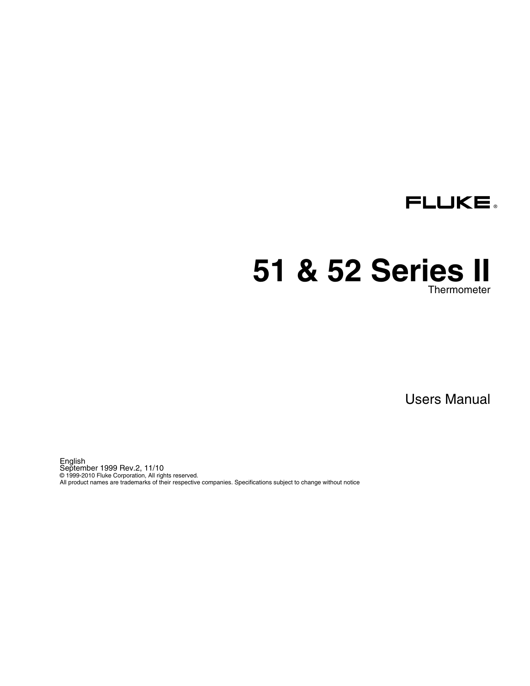

# **51 & 52 Series II Thermometer**

Users Manual

English September 1999 Rev.2, 11/10 © 1999-2010 Fluke Corporation, All rights reserved. All product names are trademarks of their respective companies. Specifications subject to change without notice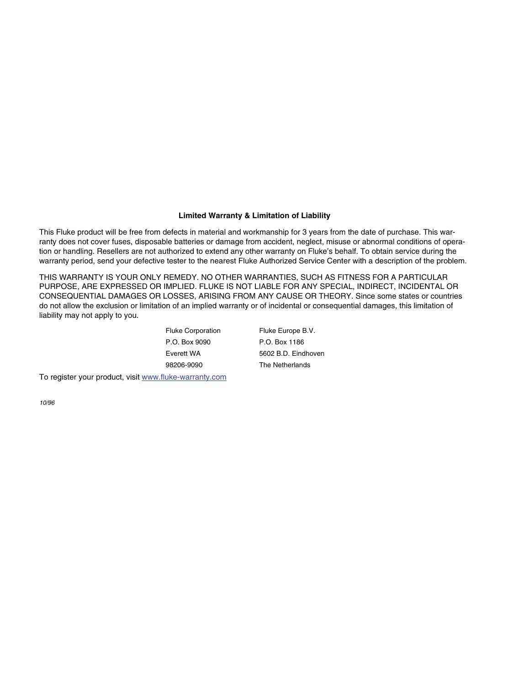#### **Limited Warranty & Limitation of Liability**

This Fluke product will be free from defects in material and workmanship for 3 years from the date of purchase. This warranty does not cover fuses, disposable batteries or damage from accident, neglect, misuse or abnormal conditions of operation or handling. Resellers are not authorized to extend any other warranty on Fluke's behalf. To obtain service during the warranty period, send your defective tester to the nearest Fluke Authorized Service Center with a description of the problem.

THIS WARRANTY IS YOUR ONLY REMEDY. NO OTHER WARRANTIES, SUCH AS FITNESS FOR A PARTICULAR PURPOSE, ARE EXPRESSED OR IMPLIED. FLUKE IS NOT LIABLE FOR ANY SPECIAL, INDIRECT, INCIDENTAL OR CONSEQUENTIAL DAMAGES OR LOSSES, ARISING FROM ANY CAUSE OR THEORY. Since some states or countries do not allow the exclusion or limitation of an implied warranty or of incidental or consequential damages, this limitation of liability may not apply to you.

| <b>Fluke Corporation</b> | Fluke Europe B.V.   |
|--------------------------|---------------------|
| P.O. Box 9090            | P.O. Box 1186       |
| Everett WA               | 5602 B.D. Eindhoven |
| 98206-9090               | The Netherlands     |
|                          |                     |

To register your product, visit www.fluke-warranty.com

*10/96*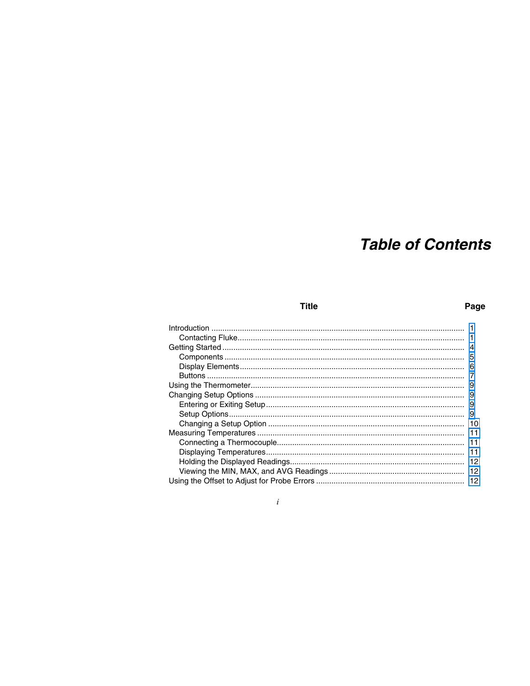# **Table of Contents**

#### **Title**

#### Page

| 9   |
|-----|
| 10  |
| 11  |
| 11  |
| 11  |
|     |
| -12 |
| 12  |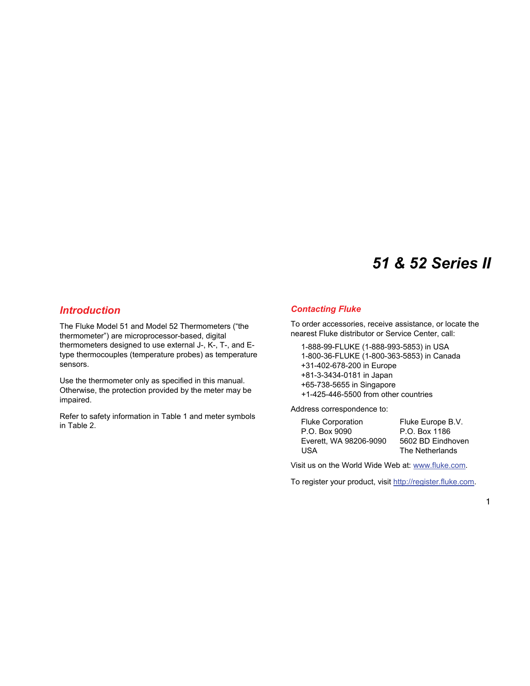# *51 & 52 Series II*

## <span id="page-4-0"></span>*Introduction*

The Fluke Model 51 and Model 52 Thermometers ("the thermometer") are microprocessor-based, digital thermometers designed to use external J-, K-, T-, and Etype thermocouples (temperature probes) as temperature sensors.

Use the thermometer only as specified in this manual. Otherwise, the protection provided by the meter may be impaired.

Refer to safety information in Table 1 and meter symbols in Table 2.

### *Contacting Fluke*

To order accessories, receive assistance, or locate the nearest Fluke distributor or Service Center, call:

1-888-99-FLUKE (1-888-993-5853) in USA 1-800-36-FLUKE (1-800-363-5853) in Canada +31-402-678-200 in Europe +81-3-3434-0181 in Japan +65-738-5655 in Singapore +1-425-446-5500 from other countries

Address correspondence to:

| Fluke Corporation      | Fluke Europe B.V. |
|------------------------|-------------------|
| P.O. Box 9090          | P.O. Box 1186     |
| Everett. WA 98206-9090 | 5602 BD Eindhoven |
| USA                    | The Netherlands   |

Visit us on the World Wide Web at: www.fluke.com.

To register your product, visit http://register.fluke.com.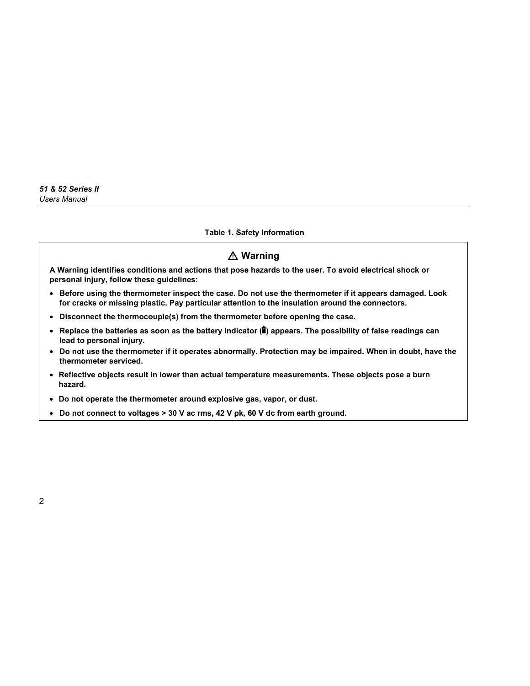#### **Table 1. Safety Information**

# W **Warning**

**A Warning identifies conditions and actions that pose hazards to the user. To avoid electrical shock or personal injury, follow these guidelines:** 

- **Before using the thermometer inspect the case. Do not use the thermometer if it appears damaged. Look for cracks or missing plastic. Pay particular attention to the insulation around the connectors.**
- **Disconnect the thermocouple(s) from the thermometer before opening the case.**
- Replace the batteries as soon as the battery indicator ( $\hat{a}$ ) appears. The possibility of false readings can **lead to personal injury.**
- **Do not use the thermometer if it operates abnormally. Protection may be impaired. When in doubt, have the thermometer serviced.**
- **Reflective objects result in lower than actual temperature measurements. These objects pose a burn hazard.**
- **Do not operate the thermometer around explosive gas, vapor, or dust.**
- **Do not connect to voltages > 30 V ac rms, 42 V pk, 60 V dc from earth ground.**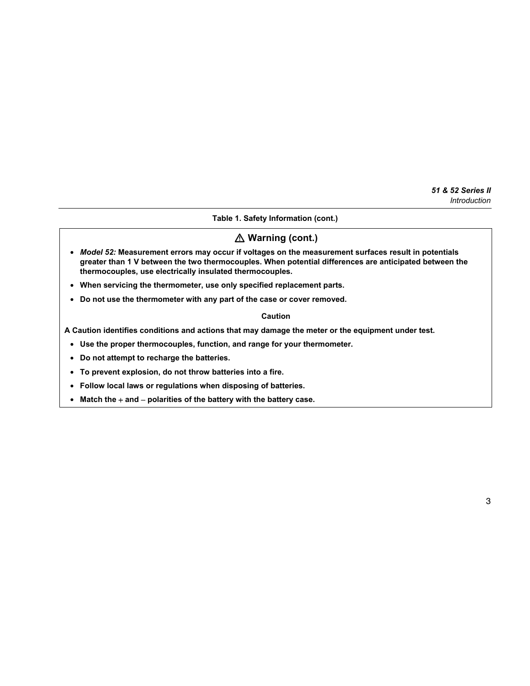#### **Table 1. Safety Information (cont.)**

## W **Warning (cont.)**

- *Model 52:* **Measurement errors may occur if voltages on the measurement surfaces result in potentials greater than 1 V between the two thermocouples. When potential differences are anticipated between the thermocouples, use electrically insulated thermocouples.**
- **When servicing the thermometer, use only specified replacement parts.**
- **Do not use the thermometer with any part of the case or cover removed.**

#### **Caution**

**A Caution identifies conditions and actions that may damage the meter or the equipment under test.** 

- **Use the proper thermocouples, function, and range for your thermometer.**
- **Do not attempt to recharge the batteries.**
- **To prevent explosion, do not throw batteries into a fire.**
- **Follow local laws or regulations when disposing of batteries.**
- **Match the** + **and** − **polarities of the battery with the battery case.**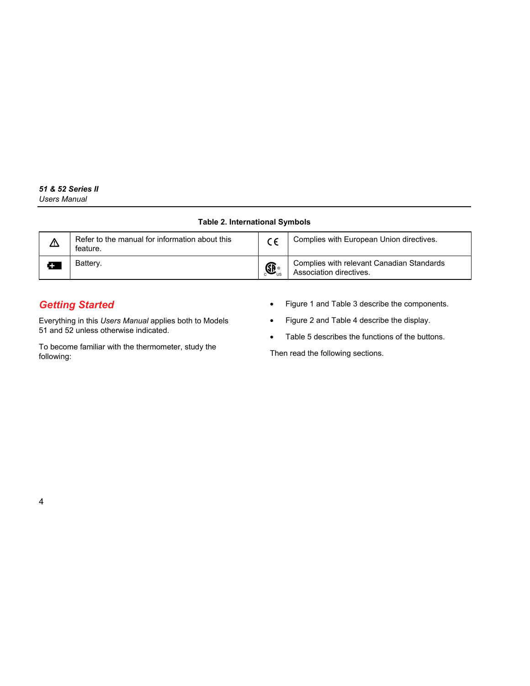#### **Table 2. International Symbols**

<span id="page-7-0"></span>

| ⚠ | Refer to the manual for information about this<br>feature. |                                            | Complies with European Union directives.                             |
|---|------------------------------------------------------------|--------------------------------------------|----------------------------------------------------------------------|
|   | Battery.                                                   | $\bigoplus_{\scriptscriptstyle \text{US}}$ | Complies with relevant Canadian Standards<br>Association directives. |

# *Getting Started*

Everything in this *Users Manual* applies both to Models 51 and 52 unless otherwise indicated.

To become familiar with the thermometer, study the following:

- Figure 1 and Table 3 describe the components.
- Figure 2 and Table 4 describe the display.
- Table 5 describes the functions of the buttons.

Then read the following sections.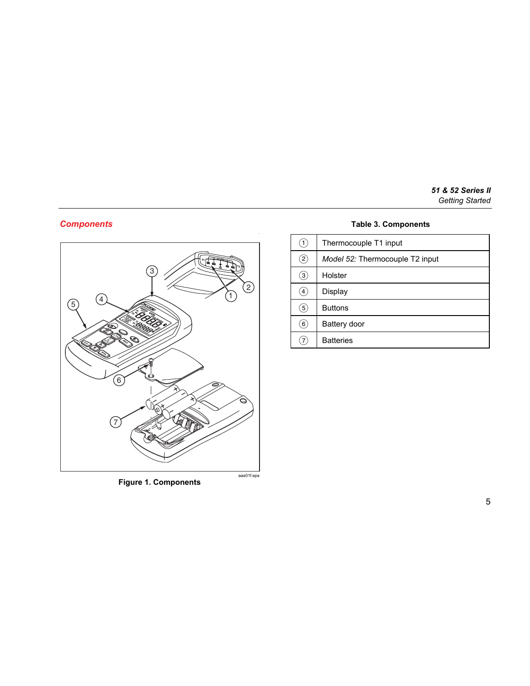#### *51 & 52 Series II Getting Started*

## <span id="page-8-0"></span>*Components*



## **Table 3. Components**

| (1)               | Thermocouple T1 input           |
|-------------------|---------------------------------|
| $\left( 2\right)$ | Model 52: Thermocouple T2 input |
| $\left(3\right)$  | Holster                         |
| $\left( 4\right)$ | Display                         |
| (5)               | <b>Buttons</b>                  |
| $\left(6\right)$  | Battery door                    |
| 7                 | <b>Batteries</b>                |

**Figure 1. Components**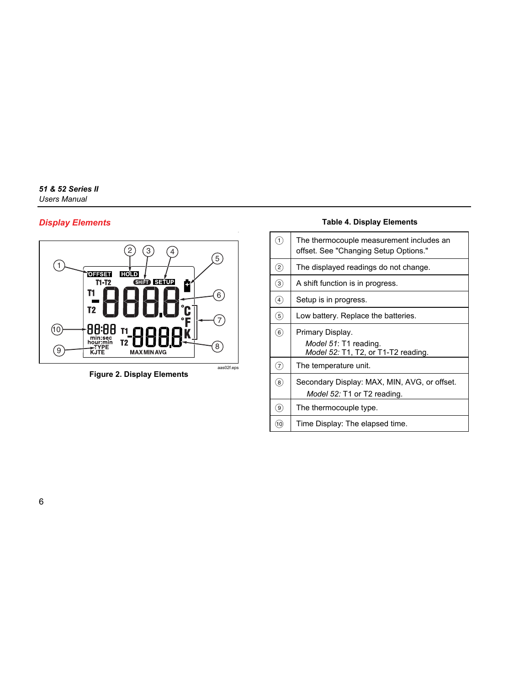#### <span id="page-9-0"></span>*51 & 52 Series II Users Manual*

### *Display Elements*



**Figure 2. Display Elements** 

### **Table 4. Display Elements**

| F)                | The thermocouple measurement includes an<br>offset. See "Changing Setup Options." |
|-------------------|-----------------------------------------------------------------------------------|
| $\circled{2}$     | The displayed readings do not change.                                             |
| $\circledS$       | A shift function is in progress.                                                  |
| $\circled{4}$     | Setup is in progress.                                                             |
| $\circled{5}$     | Low battery. Replace the batteries.                                               |
| $\circledast$     | Primary Display.<br>Model 51: T1 reading.<br>Model 52: T1, T2, or T1-T2 reading.  |
| 7                 | The temperature unit.                                                             |
| $\left( 8\right)$ | Secondary Display: MAX, MIN, AVG, or offset.<br>Model 52: T1 or T2 reading.       |
| $\circledast$     | The thermocouple type.                                                            |
| (10)              | Time Display: The elapsed time.                                                   |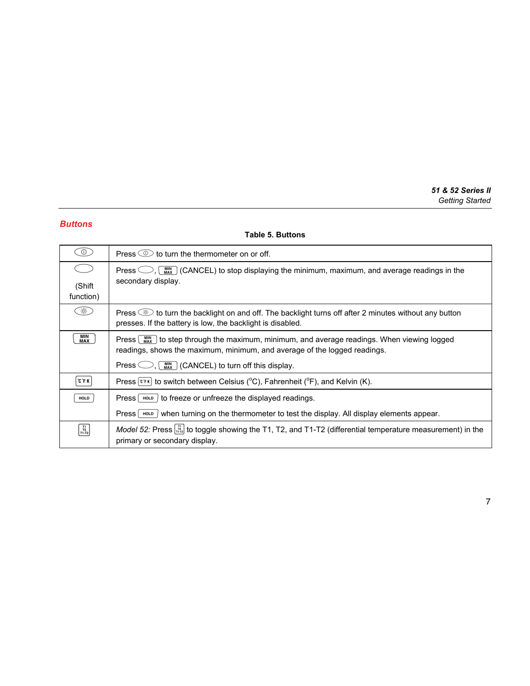## <span id="page-10-0"></span>*Buttons*

#### **Table 5. Buttons**

| $\circledcirc$                                    | Press $\circledcirc$ to turn the thermometer on or off.                                                                                                                                                 |
|---------------------------------------------------|---------------------------------------------------------------------------------------------------------------------------------------------------------------------------------------------------------|
| (Shift                                            | Press $\bigcirc$ , $\left(\begin{array}{c} \text{MIX} \\ \text{MIX} \end{array}\right)$ (CANCEL) to stop displaying the minimum, maximum, and average readings in the<br>secondary display.             |
| function)                                         |                                                                                                                                                                                                         |
| $\frac{1}{2}$                                     | Press $\circledast$ to turn the backlight on and off. The backlight turns off after 2 minutes without any button<br>presses. If the battery is low, the backlight is disabled.                          |
| MIN<br>MAX                                        | Press $\lfloor \frac{mn}{m\Delta} \rfloor$ to step through the maximum, minimum, and average readings. When viewing logged<br>readings, shows the maximum, minimum, and average of the logged readings. |
|                                                   | Press $\bigcirc$ , $\left(\begin{array}{c} \text{MIN} \\ \text{MAX} \end{array}\right)$ (CANCEL) to turn off this display.                                                                              |
| <b>CFK</b>                                        | Press $\lceil \vec{r} \rceil$ to switch between Celsius (°C), Fahrenheit (°F), and Kelvin (K).                                                                                                          |
| <b>HOLD</b>                                       | Press $\lceil$ HOLD $\lceil$ to freeze or unfreeze the displayed readings.                                                                                                                              |
|                                                   | when turning on the thermometer to test the display. All display elements appear.<br>Press   root                                                                                                       |
| $\begin{bmatrix} 11 \\ 12 \\ 11-12 \end{bmatrix}$ | Model 52: Press $\frac{17}{1724}$ to toggle showing the T1, T2, and T1-T2 (differential temperature measurement) in the<br>primary or secondary display.                                                |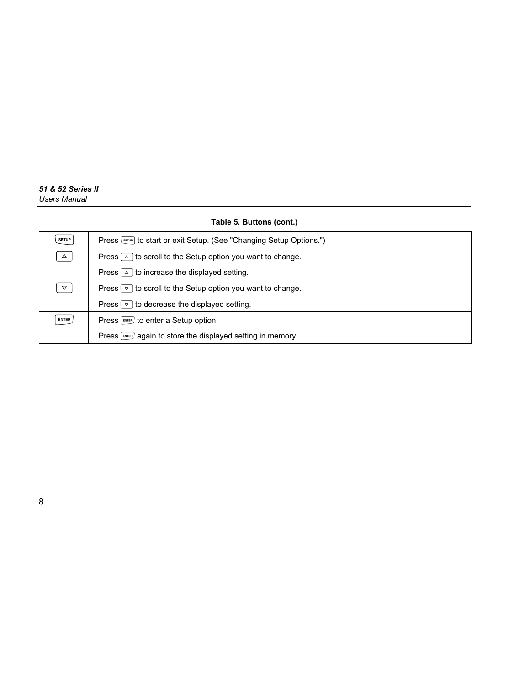#### **Table 5. Buttons (cont.)**

| <b>SETUP</b>    | Press Server to start or exit Setup. (See "Changing Setup Options.")                  |  |
|-----------------|---------------------------------------------------------------------------------------|--|
| $\Delta$        | Press $\lceil \Delta \rceil$ to scroll to the Setup option you want to change.        |  |
|                 | Press $\boxed{\triangle}$ to increase the displayed setting.                          |  |
| $\triangledown$ | Press $\lceil \triangledown \rceil$ to scroll to the Setup option you want to change. |  |
|                 | Press $\lceil \vee \rceil$ to decrease the displayed setting.                         |  |
| ENTER           | Press [ENTER] to enter a Setup option.                                                |  |
|                 | Press [ENTER] again to store the displayed setting in memory.                         |  |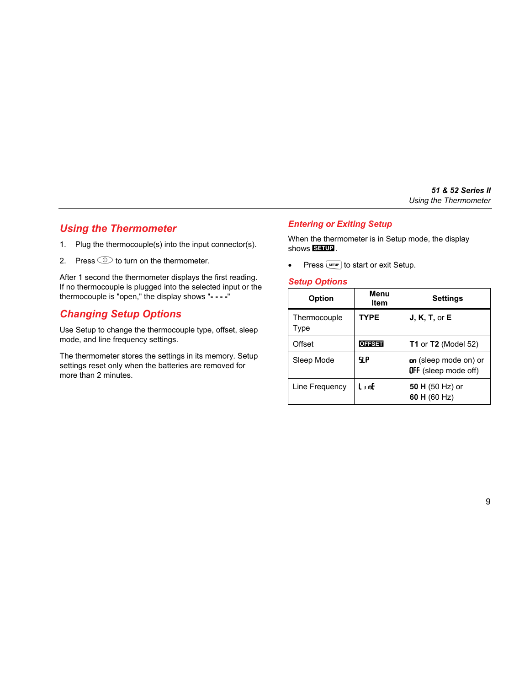# <span id="page-12-0"></span>*Using the Thermometer*

- 1. Plug the thermocouple(s) into the input connector(s).
- 2. Press  $\circledcirc$  to turn on the thermometer.

After 1 second the thermometer displays the first reading. If no thermocouple is plugged into the selected input or the thermocouple is "open," the display shows "**- - - -**"

## *Changing Setup Options*

Use Setup to change the thermocouple type, offset, sleep mode, and line frequency settings.

The thermometer stores the settings in its memory. Setup settings reset only when the batteries are removed for more than 2 minutes.

#### *Entering or Exiting Setup*

When the thermometer is in Setup mode, the display shows **.** 

• Press  $\boxed{\text{error}}$  to start or exit Setup.

#### *Setup Options*

| <b>Option</b>        | Menu<br>Item  | <b>Settings</b>                                      |
|----------------------|---------------|------------------------------------------------------|
| Thermocouple<br>Type | <b>TYPE</b>   | J, K, T, or E                                        |
| Offset               | <b>OFFSET</b> | <b>T1</b> or $T2$ (Model 52)                         |
| Sleep Mode           | 9 P           | on (sleep mode on) or<br><b>OFF</b> (sleep mode off) |
| Line Frequency       | LınE          | 50 H (50 Hz) or<br>60 H $(60$ Hz)                    |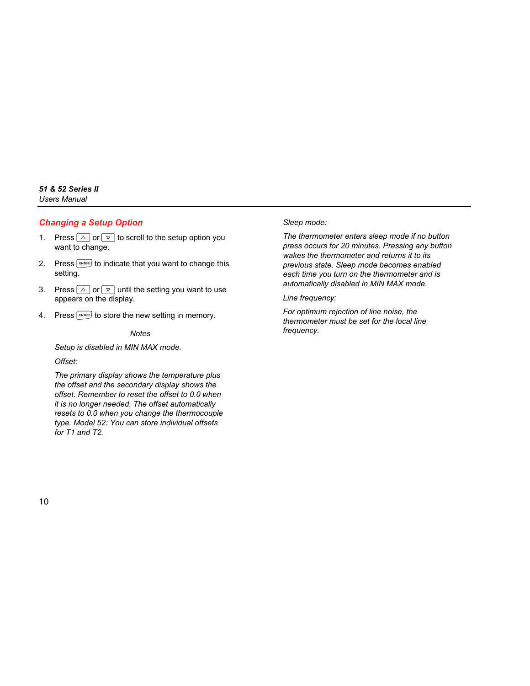#### <span id="page-13-0"></span>*Changing a Setup Option*

- 1. Press  $\boxed{\triangle}$  or  $\boxed{\triangledown}$  to scroll to the setup option you want to change.
- 2. Press  $\boxed{\text{ENTER}}$  to indicate that you want to change this setting.
- 3. Press  $\boxed{\triangle}$  or  $\boxed{\triangledown}$  until the setting you want to use appears on the display.
- 4. Press  $F_{\text{ENTER}}$  to store the new setting in memory.

#### *Notes*

*Setup is disabled in MIN MAX mode.* 

*Offset:* 

*The primary display shows the temperature plus the offset and the secondary display shows the offset. Remember to reset the offset to 0.0 when it is no longer needed. The offset automatically resets to 0.0 when you change the thermocouple type. Model 52: You can store individual offsets for T1 and T2.* 

#### *Sleep mode:*

*The thermometer enters sleep mode if no button press occurs for 20 minutes. Pressing any button wakes the thermometer and returns it to its previous state. Sleep mode becomes enabled each time you turn on the thermometer and is automatically disabled in MIN MAX mode.* 

*Line frequency:* 

*For optimum rejection of line noise, the thermometer must be set for the local line frequency.*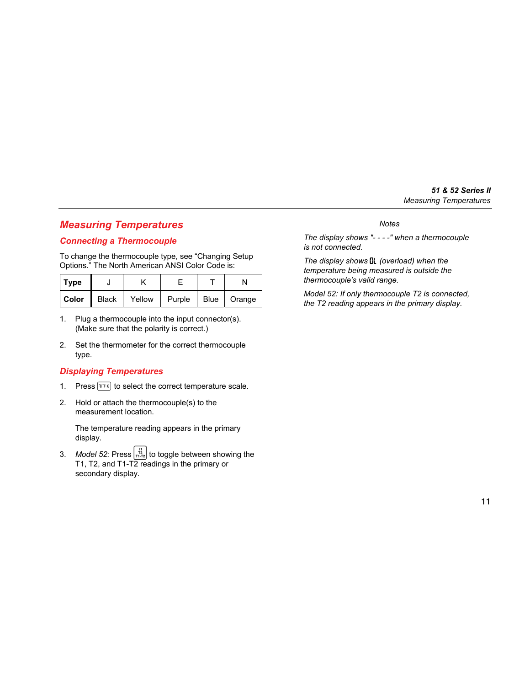# <span id="page-14-0"></span>*Measuring Temperatures*

### *Connecting a Thermocouple*

To change the thermocouple type, see "Changing Setup Options." The North American ANSI Color Code is:

| Type    |       |        |        |               |
|---------|-------|--------|--------|---------------|
| l Color | Black | Yellow | Purple | Blue   Orange |

- 1. Plug a thermocouple into the input connector(s). (Make sure that the polarity is correct.)
- 2. Set the thermometer for the correct thermocouple type.

#### *Displaying Temperatures*

- 1. Press  $\overline{c} \cdot \overline{r}$  to select the correct temperature scale.
- 2. Hold or attach the thermocouple(s) to the measurement location.

The temperature reading appears in the primary display.

3. *Model 52:* Press  $\frac{\frac{1}{112}}{\frac{1}{1112}}$  to toggle between showing the T1, T2, and T1-T2 readings in the primary or secondary display.

#### *Notes*

*The display shows "- - - -" when a thermocouple is not connected.* 

*The display shows OL (overload) when the temperature being measured is outside the thermocouple's valid range.* 

*Model 52: If only thermocouple T2 is connected, the T2 reading appears in the primary display.*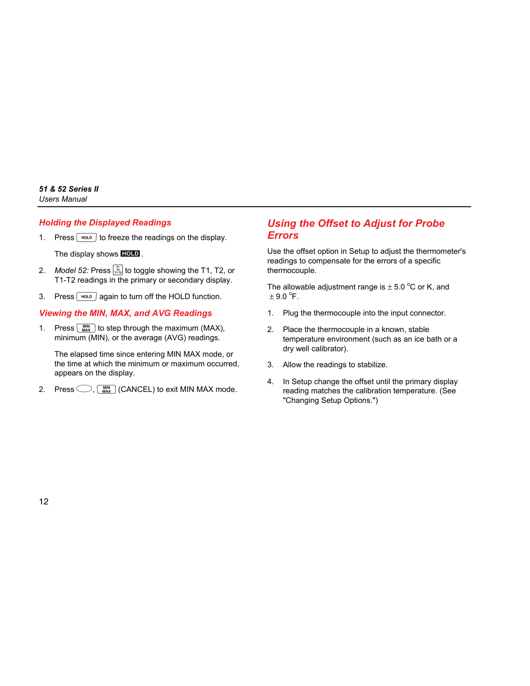#### <span id="page-15-0"></span>*Holding the Displayed Readings*

1. Press  $\lceil \frac{HOD}{v} \rceil$  to freeze the readings on the display.

The display shows **HOLD**.

- 2. *Model 52:* Press  $\frac{1}{1122}$  to toggle showing the T1, T2, or T1-T2 readings in the primary or secondary display.
- 3. Press  $\sqrt{100D}$  again to turn off the HOLD function.

## *Viewing the MIN, MAX, and AVG Readings*

1. Press  $\lceil \frac{MN}{MAX} \rceil$  to step through the maximum (MAX), minimum (MIN), or the average (AVG) readings.

The elapsed time since entering MIN MAX mode, or the time at which the minimum or maximum occurred, appears on the display.

2. Press  $\bigcirc$ ,  $\binom{MN}{MAX}$  (CANCEL) to exit MIN MAX mode.

# *Using the Offset to Adjust for Probe Errors*

Use the offset option in Setup to adjust the thermometer's readings to compensate for the errors of a specific thermocouple.

The allowable adjustment range is  $\pm$  5.0 °C or K, and  $\pm$  9.0  $\mathrm{^{\circ}F}.$ 

- 1. Plug the thermocouple into the input connector.
- 2. Place the thermocouple in a known, stable temperature environment (such as an ice bath or a dry well calibrator).
- 3. Allow the readings to stabilize.
- 4. In Setup change the offset until the primary display reading matches the calibration temperature. (See "Changing Setup Options.")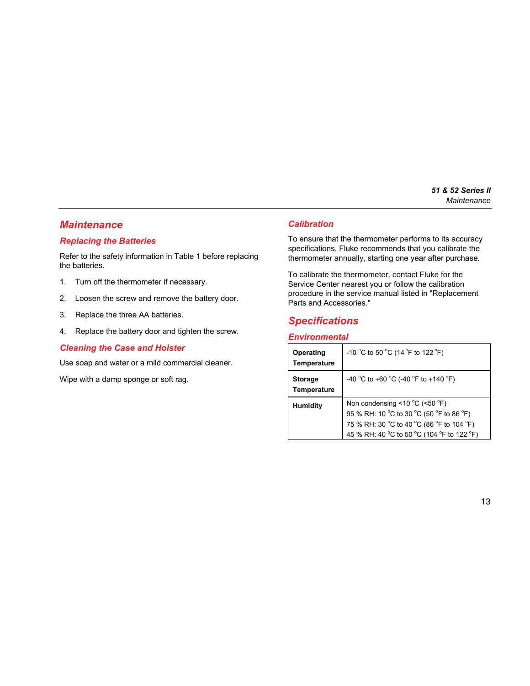## <span id="page-16-0"></span>*Maintenance*

### *Replacing the Batteries*

Refer to the safety information in Table 1 before replacing the batteries.

- 1. Turn off the thermometer if necessary.
- 2. Loosen the screw and remove the battery door.
- 3. Replace the three AA batteries.
- 4. Replace the battery door and tighten the screw.

#### *Cleaning the Case and Holster*

Use soap and water or a mild commercial cleaner.

Wipe with a damp sponge or soft rag.

#### *Calibration*

To ensure that the thermometer performs to its accuracy specifications, Fluke recommends that you calibrate the thermometer annually, starting one year after purchase.

To calibrate the thermometer, contact Fluke for the Service Center nearest you or follow the calibration procedure in the service manual listed in "Replacement Parts and Accessories."

# *Specifications*

### *Environmental*

| Operating<br>Temperature      | -10 °C to 50 °C (14 °F to 122 °F)                                                                                                                                                         |
|-------------------------------|-------------------------------------------------------------------------------------------------------------------------------------------------------------------------------------------|
| <b>Storage</b><br>Temperature | -40 °C to +60 °C (-40 °F to +140 °F)                                                                                                                                                      |
| <b>Humidity</b>               | Non condensing <10 $^{\circ}$ C (<50 $^{\circ}$ F)<br>95 % RH: 10 °C to 30 °C (50 °F to 86 °F)<br>75 % RH: 30 °C to 40 °C (86 °F to 104 °F)<br>45 % RH: 40 °C to 50 °C (104 °F to 122 °F) |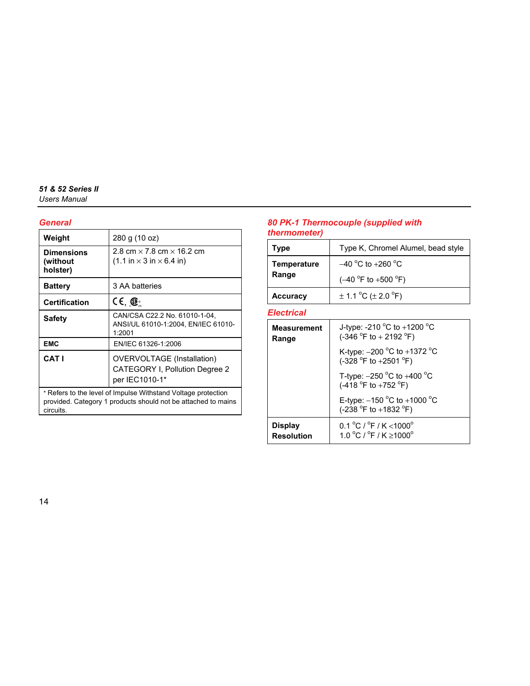## <span id="page-17-0"></span>*General*

| Weight                                                                                                                                      | 280 g (10 oz)                                                                                           |  |
|---------------------------------------------------------------------------------------------------------------------------------------------|---------------------------------------------------------------------------------------------------------|--|
| <b>Dimensions</b><br>(without<br>holster)                                                                                                   | 2.8 cm $\times$ 7.8 cm $\times$ 16.2 cm<br>$(1.1 \text{ in} \times 3 \text{ in} \times 6.4 \text{ in})$ |  |
| <b>Battery</b>                                                                                                                              | 3 AA batteries                                                                                          |  |
| <b>Certification</b>                                                                                                                        | $CE, \circledR$                                                                                         |  |
| Safety                                                                                                                                      | CAN/CSA C22.2 No. 61010-1-04,<br>ANSI/UL 61010-1:2004, EN/IEC 61010-<br>1:2001                          |  |
| <b>EMC</b>                                                                                                                                  | EN/IEC 61326-1:2006                                                                                     |  |
| <b>CATI</b>                                                                                                                                 | <b>OVERVOLTAGE</b> (Installation)<br><b>CATEGORY I, Pollution Degree 2</b><br>per IEC1010-1*            |  |
| * Refers to the level of Impulse Withstand Voltage protection<br>provided. Category 1 products should not be attached to mains<br>circuits. |                                                                                                         |  |

## *80 PK-1 Thermocouple (supplied with thermometer)*

| Type            | Type K, Chromel Alumel, bead style      |
|-----------------|-----------------------------------------|
| Temperature     | $-40\,^{\circ}$ C to $+260\,^{\circ}$ C |
| Range           | $(-40 °F)$ to $+500 °F$ )               |
| <b>Accuracy</b> | $\pm$ 1.1 °C ( $\pm$ 2.0 °F)            |

#### *Electrical*

| <b>Measurement</b><br>Range         | J-type: -210 $^{\circ}$ C to +1200 $^{\circ}$ C<br>$(-346 °F to + 2192 °F)$                |
|-------------------------------------|--------------------------------------------------------------------------------------------|
|                                     | K-type: $-200\,^{\circ}$ C to $+1372\,^{\circ}$ C<br>$(-328 °F to +2501 °F)$               |
|                                     | T-type: $-250$ °C to $+400$ °C<br>$(-418 °F)$ to $+752 °F)$                                |
|                                     | E-type: $-150^{\circ}$ C to $+1000^{\circ}$ C<br>(-238 $^{\circ}$ F to +1832 $^{\circ}$ F) |
| <b>Display</b><br><b>Resolution</b> | $0.1 \,^{\circ}$ C / $^{\circ}$ F / K < 1000 <sup>o</sup><br>1.0 °C / °F / K > 1000 °      |